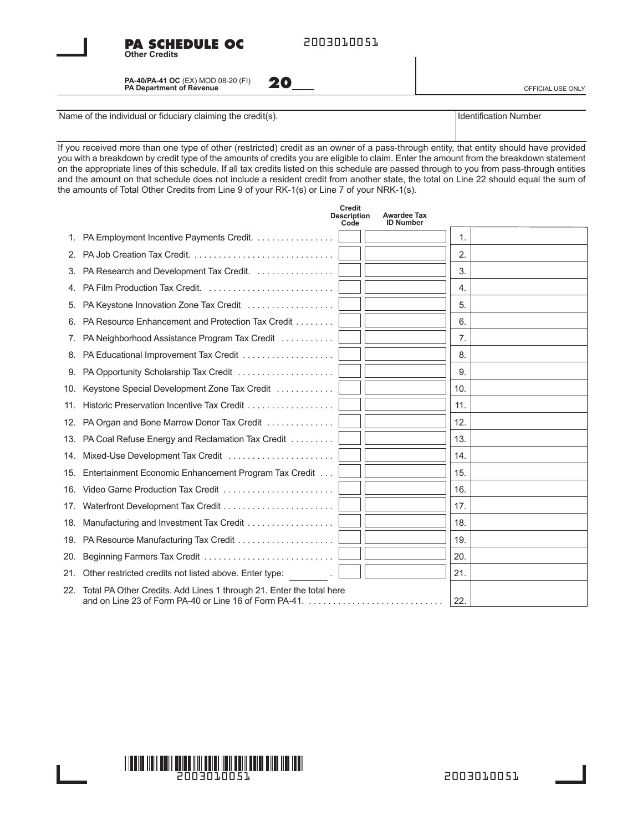



**PA SCHEDULE OC**

**20\_\_\_** OFFICIAL USE ONLY

Name of the individual or fiduciary claiming the credit(s). International control of the individual or fiduciary claiming the credit(s).

**Other Credits**

If you received more than one type of other (restricted) credit as an owner of a pass-through entity, that entity should have provided you with a breakdown by credit type of the amounts of credits you are eligible to claim. Enter the amount from the breakdown statement on the appropriate lines of this schedule. If all tax credits listed on this schedule are passed through to you from pass-through entities and the amount on that schedule does not include a resident credit from another state, the total on Line 22 should equal the sum of the amounts of Total Other Credits from Line 9 of your RK-1(s) or Line 7 of your NRK-1(s).

|     | <b>Credit</b><br><b>Awardee Tax</b><br><b>Description</b><br><b>ID Number</b><br>Code                                          |                |
|-----|--------------------------------------------------------------------------------------------------------------------------------|----------------|
| 1.  | PA Employment Incentive Payments Credit.                                                                                       | $\mathbf{1}$ . |
| 2.  |                                                                                                                                | 2.             |
| 3.  | PA Research and Development Tax Credit.                                                                                        | 3.             |
| 4.  |                                                                                                                                | 4.             |
| 5.  | PA Keystone Innovation Zone Tax Credit                                                                                         | 5.             |
|     | PA Resource Enhancement and Protection Tax Credit                                                                              | 6.             |
| 7.  | PA Neighborhood Assistance Program Tax Credit                                                                                  | 7.             |
| 8.  |                                                                                                                                | 8.             |
| 9.  | PA Opportunity Scholarship Tax Credit                                                                                          | 9.             |
| 10. | Keystone Special Development Zone Tax Credit                                                                                   | 10.            |
| 11. |                                                                                                                                | 11.            |
| 12. | PA Organ and Bone Marrow Donor Tax Credit                                                                                      | 12.            |
| 13. | PA Coal Refuse Energy and Reclamation Tax Credit                                                                               | 13.            |
| 14. |                                                                                                                                | 14.            |
| 15. | Entertainment Economic Enhancement Program Tax Credit                                                                          | 15.            |
| 16. |                                                                                                                                | 16.            |
| 17. |                                                                                                                                | 17.            |
| 18. | Manufacturing and Investment Tax Credit                                                                                        | 18.            |
|     | 19. PA Resource Manufacturing Tax Credit                                                                                       | 19.            |
| 20. |                                                                                                                                | 20.            |
| 21. | Other restricted credits not listed above. Enter type:                                                                         | 21.            |
| 22. | Total PA Other Credits. Add Lines 1 through 21. Enter the total here<br>and on Line 23 of Form PA-40 or Line 16 of Form PA-41. | 22.            |

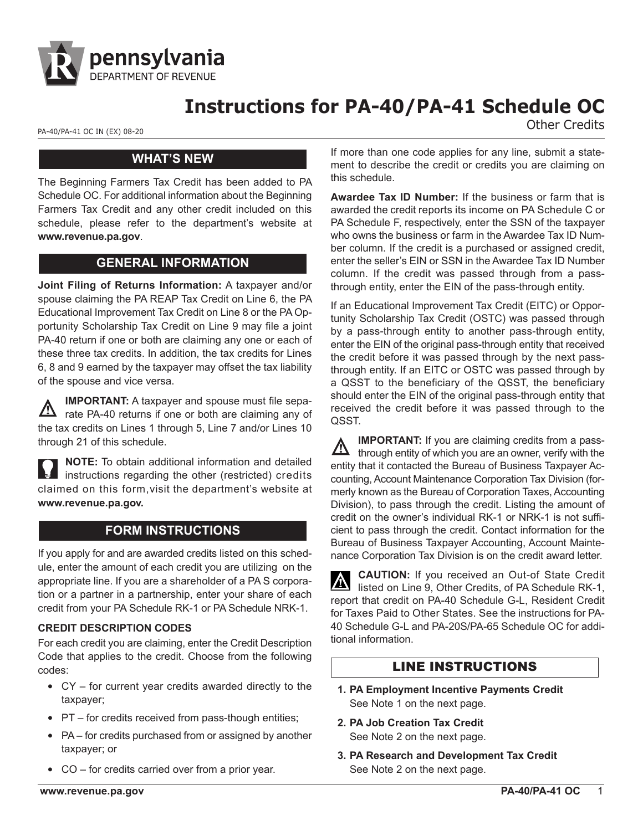

# **Instructions for PA-40/PA-41 Schedule OC**

PA-40/PA-41 OC IN (EX) 08-20<br> **Other Credits** 

## **WHAT'S NEW**

The Beginning Farmers Tax Credit has been added to PA Schedule OC. For additional information about the Beginning Farmers Tax Credit and any other credit included on this schedule, please refer to the department's website at **www.revenue.pa.gov**.

## **GENERAL INFORMATION**

**Joint Filing of Returns Information:** A taxpayer and/or spouse claiming the PA REAP Tax Credit on Line 6, the PA Educational Improvement Tax Credit on Line 8 or the PA Opportunity Scholarship Tax Credit on Line 9 may file a joint PA-40 return if one or both are claiming any one or each of these three tax credits. In addition, the tax credits for Lines 6, 8 and 9 earned by the taxpayer may offset the tax liability of the spouse and vice versa.

**IMPORTANT:** A taxpayer and spouse must file sepa- $\Delta$  rate PA-40 returns if one or both are claiming any of the tax credits on Lines 1 through 5, Line 7 and/or Lines 10 through 21 of this schedule.

**NOTE:** To obtain additional information and detailed instructions regarding the other (restricted) credits claimed on this form,visit the department's website at **www.revenue.pa.gov.**

# **FORM INSTRUCTIONS**

If you apply for and are awarded credits listed on this schedule, enter the amount of each credit you are utilizing on the appropriate line. If you are a shareholder of a PA S corporation or a partner in a partnership, enter your share of each credit from your PA Schedule RK-1 or PA Schedule NRK-1.

#### **CREDIT DESCRIPTION CODES**

For each credit you are claiming, enter the Credit Description Code that applies to the credit. Choose from the following codes:

- CY for current year credits awarded directly to the taxpayer;
- PT for credits received from pass-though entities;
- PA for credits purchased from or assigned by another taxpayer; or
- CO for credits carried over from a prior year.

If more than one code applies for any line, submit a statement to describe the credit or credits you are claiming on this schedule.

**Awardee Tax ID Number:** If the business or farm that is awarded the credit reports its income on PA Schedule C or PA Schedule F, respectively, enter the SSN of the taxpayer who owns the business or farm in the Awardee Tax ID Number column. If the credit is a purchased or assigned credit, enter the seller's EIN or SSN in the Awardee Tax ID Number column. If the credit was passed through from a passthrough entity, enter the EIN of the pass-through entity.

If an Educational Improvement Tax Credit (EITC) or Opportunity Scholarship Tax Credit (OSTC) was passed through by a pass-through entity to another pass-through entity, enter the EIN of the original pass-through entity that received the credit before it was passed through by the next passthrough entity. If an EITC or OSTC was passed through by a QSST to the beneficiary of the QSST, the beneficiary should enter the EIN of the original pass-through entity that received the credit before it was passed through to the QSST.

**IMPORTANT:** If you are claiming credits from a pass- $\sum$  through entity of which you are an owner, verify with the entity that it contacted the Bureau of Business Taxpayer Accounting, Account Maintenance Corporation Tax Division (formerly known as the Bureau of Corporation Taxes, Accounting Division), to pass through the credit. Listing the amount of credit on the owner's individual RK-1 or NRK-1 is not sufficient to pass through the credit. Contact information for the Bureau of Business Taxpayer Accounting, Account Maintenance Corporation Tax Division is on the credit award letter.

**CAUTION:** If you received an Out-of State Credit ΙA listed on Line 9, Other Credits, of PA Schedule RK-1, report that credit on PA-40 Schedule G-L, Resident Credit for Taxes Paid to Other States. See the instructions for PA-40 Schedule G-L and PA-20S/PA-65 Schedule OC for additional information.

#### LINE INSTRUCTIONS

- **1. PA Employment Incentive Payments Credit** See Note 1 on the next page.
- **2. PA Job Creation Tax Credit** See Note 2 on the next page.
- **3. PA Research and Development Tax Credit** See Note 2 on the next page.